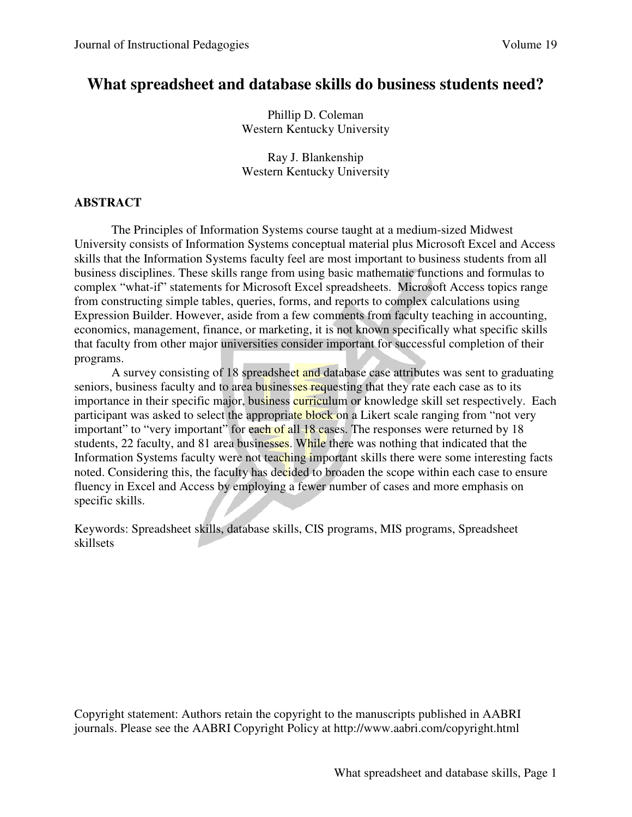# **What spreadsheet and database skills do business students need?**

Phillip D. Coleman Western Kentucky University

Ray J. Blankenship Western Kentucky University

## **ABSTRACT**

The Principles of Information Systems course taught at a medium-sized Midwest University consists of Information Systems conceptual material plus Microsoft Excel and Access skills that the Information Systems faculty feel are most important to business students from all business disciplines. These skills range from using basic mathematic functions and formulas to complex "what-if" statements for Microsoft Excel spreadsheets. Microsoft Access topics range from constructing simple tables, queries, forms, and reports to complex calculations using Expression Builder. However, aside from a few comments from faculty teaching in accounting, economics, management, finance, or marketing, it is not known specifically what specific skills that faculty from other major universities consider important for successful completion of their programs.

A survey consisting of 18 spreadsheet and database case attributes was sent to graduating seniors, business faculty and to area businesses requesting that they rate each case as to its importance in their specific major, business curriculum or knowledge skill set respectively. Each participant was asked to select the appropriate block on a Likert scale ranging from "not very important" to "very important" for each of all 18 cases. The responses were returned by 18 students, 22 faculty, and 81 area businesses. While there was nothing that indicated that the Information Systems faculty were not teaching important skills there were some interesting facts noted. Considering this, the faculty has decided to broaden the scope within each case to ensure fluency in Excel and Access by employing a fewer number of cases and more emphasis on specific skills.

Keywords: Spreadsheet skills, database skills, CIS programs, MIS programs, Spreadsheet skillsets

Copyright statement: Authors retain the copyright to the manuscripts published in AABRI journals. Please see the AABRI Copyright Policy at http://www.aabri.com/copyright.html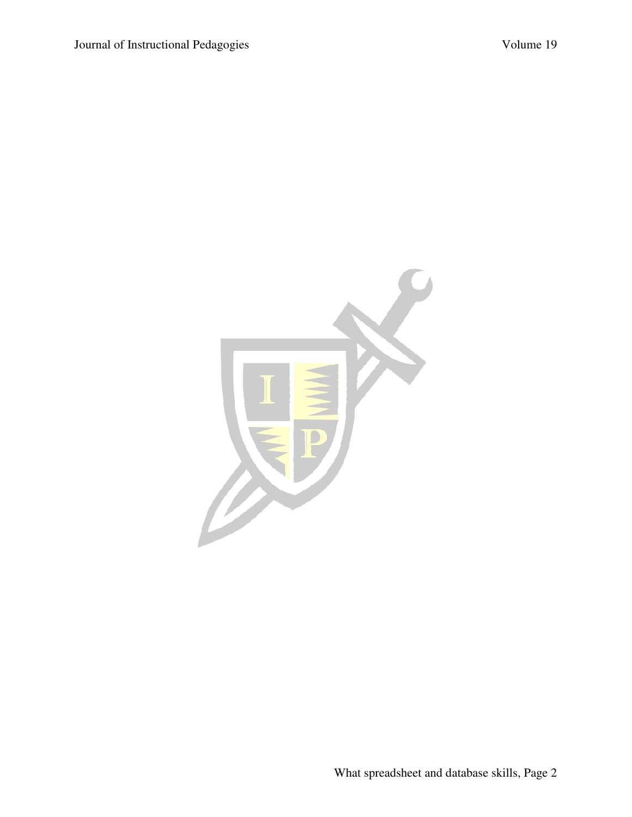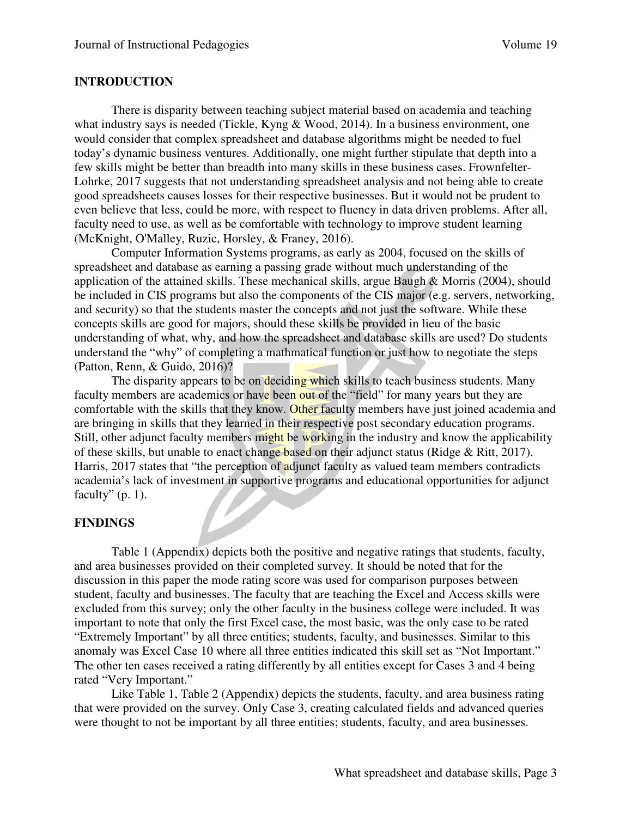#### **INTRODUCTION**

There is disparity between teaching subject material based on academia and teaching what industry says is needed (Tickle, Kyng & Wood, 2014). In a business environment, one would consider that complex spreadsheet and database algorithms might be needed to fuel today's dynamic business ventures. Additionally, one might further stipulate that depth into a few skills might be better than breadth into many skills in these business cases. Frownfelter-Lohrke, 2017 suggests that not understanding spreadsheet analysis and not being able to create good spreadsheets causes losses for their respective businesses. But it would not be prudent to even believe that less, could be more, with respect to fluency in data driven problems. After all, faculty need to use, as well as be comfortable with technology to improve student learning (McKnight, O'Malley, Ruzic, Horsley, & Franey, 2016).

 Computer Information Systems programs, as early as 2004, focused on the skills of spreadsheet and database as earning a passing grade without much understanding of the application of the attained skills. These mechanical skills, argue Baugh & Morris (2004), should be included in CIS programs but also the components of the CIS major (e.g. servers, networking, and security) so that the students master the concepts and not just the software. While these concepts skills are good for majors, should these skills be provided in lieu of the basic understanding of what, why, and how the spreadsheet and database skills are used? Do students understand the "why" of completing a mathmatical function or just how to negotiate the steps (Patton, Renn, & Guido, 2016)?

The disparity appears to be on deciding which skills to teach business students. Many faculty members are academics or have been out of the "field" for many years but they are comfortable with the skills that they know. Other faculty members have just joined academia and are bringing in skills that they learned in their respective post secondary education programs. Still, other adjunct faculty members might be working in the industry and know the applicability of these skills, but unable to enact change based on their adjunct status (Ridge & Ritt, 2017). Harris, 2017 states that "the perception of adjunct faculty as valued team members contradicts academia's lack of investment in supportive programs and educational opportunities for adjunct faculty"  $(p, 1)$ .

### **FINDINGS**

 Table 1 (Appendix) depicts both the positive and negative ratings that students, faculty, and area businesses provided on their completed survey. It should be noted that for the discussion in this paper the mode rating score was used for comparison purposes between student, faculty and businesses. The faculty that are teaching the Excel and Access skills were excluded from this survey; only the other faculty in the business college were included. It was important to note that only the first Excel case, the most basic, was the only case to be rated "Extremely Important" by all three entities; students, faculty, and businesses. Similar to this anomaly was Excel Case 10 where all three entities indicated this skill set as "Not Important." The other ten cases received a rating differently by all entities except for Cases 3 and 4 being rated "Very Important."

 Like Table 1, Table 2 (Appendix) depicts the students, faculty, and area business rating that were provided on the survey. Only Case 3, creating calculated fields and advanced queries were thought to not be important by all three entities; students, faculty, and area businesses.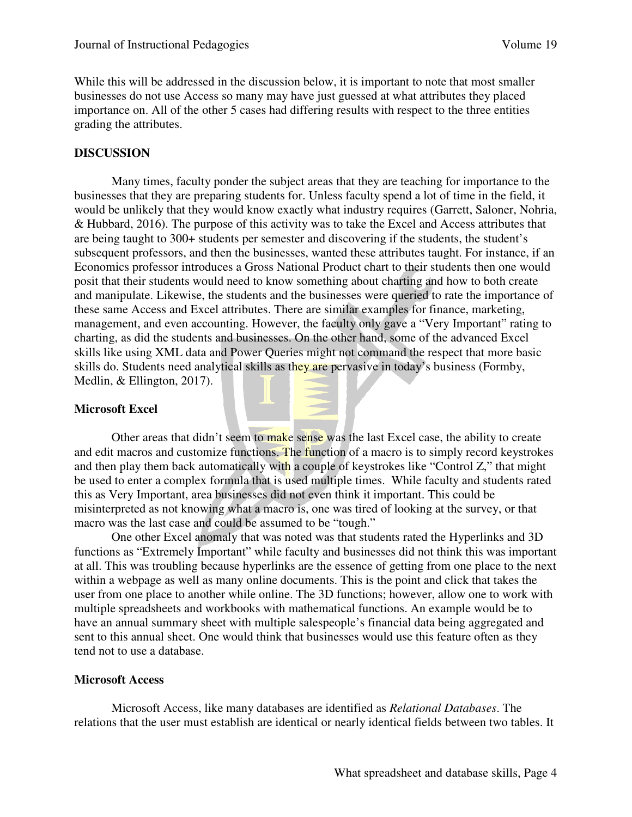While this will be addressed in the discussion below, it is important to note that most smaller businesses do not use Access so many may have just guessed at what attributes they placed importance on. All of the other 5 cases had differing results with respect to the three entities grading the attributes.

### **DISCUSSION**

 Many times, faculty ponder the subject areas that they are teaching for importance to the businesses that they are preparing students for. Unless faculty spend a lot of time in the field, it would be unlikely that they would know exactly what industry requires (Garrett, Saloner, Nohria, & Hubbard, 2016). The purpose of this activity was to take the Excel and Access attributes that are being taught to 300+ students per semester and discovering if the students, the student's subsequent professors, and then the businesses, wanted these attributes taught. For instance, if an Economics professor introduces a Gross National Product chart to their students then one would posit that their students would need to know something about charting and how to both create and manipulate. Likewise, the students and the businesses were queried to rate the importance of these same Access and Excel attributes. There are similar examples for finance, marketing, management, and even accounting. However, the faculty only gave a "Very Important" rating to charting, as did the students and businesses. On the other hand, some of the advanced Excel skills like using XML data and Power Queries might not command the respect that more basic skills do. Students need analytical skills as they are pervasive in today's business (Formby, Medlin, & Ellington, 2017).

### **Microsoft Excel**

| Other areas that didn't seem to make sense was the last Excel case, the ability to create        |  |  |  |  |  |
|--------------------------------------------------------------------------------------------------|--|--|--|--|--|
| and edit macros and customize functions. The function of a macro is to simply record keystrokes  |  |  |  |  |  |
| and then play them back automatically with a couple of keystrokes like "Control Z," that might   |  |  |  |  |  |
| be used to enter a complex formula that is used multiple times. While faculty and students rated |  |  |  |  |  |
| this as Very Important, area businesses did not even think it important. This could be           |  |  |  |  |  |
| misinterpreted as not knowing what a macro is, one was tired of looking at the survey, or that   |  |  |  |  |  |
| macro was the last case and could be assumed to be "tough."                                      |  |  |  |  |  |

 One other Excel anomaly that was noted was that students rated the Hyperlinks and 3D functions as "Extremely Important" while faculty and businesses did not think this was important at all. This was troubling because hyperlinks are the essence of getting from one place to the next within a webpage as well as many online documents. This is the point and click that takes the user from one place to another while online. The 3D functions; however, allow one to work with multiple spreadsheets and workbooks with mathematical functions. An example would be to have an annual summary sheet with multiple salespeople's financial data being aggregated and sent to this annual sheet. One would think that businesses would use this feature often as they tend not to use a database.

#### **Microsoft Access**

 Microsoft Access, like many databases are identified as *Relational Databases*. The relations that the user must establish are identical or nearly identical fields between two tables. It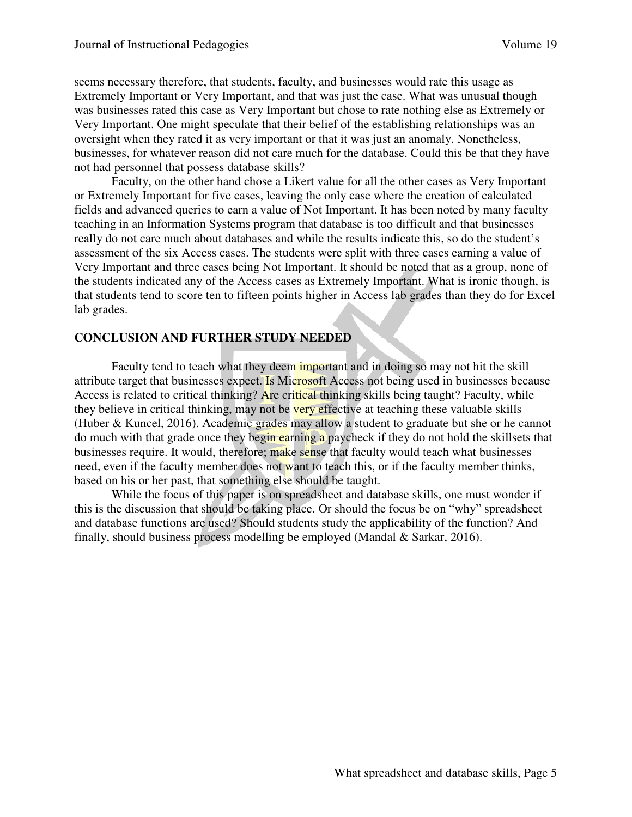seems necessary therefore, that students, faculty, and businesses would rate this usage as Extremely Important or Very Important, and that was just the case. What was unusual though was businesses rated this case as Very Important but chose to rate nothing else as Extremely or Very Important. One might speculate that their belief of the establishing relationships was an oversight when they rated it as very important or that it was just an anomaly. Nonetheless, businesses, for whatever reason did not care much for the database. Could this be that they have not had personnel that possess database skills?

Faculty, on the other hand chose a Likert value for all the other cases as Very Important or Extremely Important for five cases, leaving the only case where the creation of calculated fields and advanced queries to earn a value of Not Important. It has been noted by many faculty teaching in an Information Systems program that database is too difficult and that businesses really do not care much about databases and while the results indicate this, so do the student's assessment of the six Access cases. The students were split with three cases earning a value of Very Important and three cases being Not Important. It should be noted that as a group, none of the students indicated any of the Access cases as Extremely Important. What is ironic though, is that students tend to score ten to fifteen points higher in Access lab grades than they do for Excel lab grades.

## **CONCLUSION AND FURTHER STUDY NEEDED**

Faculty tend to teach what they deem important and in doing so may not hit the skill attribute target that businesses expect. Is Microsoft Access not being used in businesses because Access is related to critical thinking? Are critical thinking skills being taught? Faculty, while they believe in critical thinking, may not be very effective at teaching these valuable skills (Huber & Kuncel, 2016). Academic grades may allow a student to graduate but she or he cannot do much with that grade once they begin earning a paycheck if they do not hold the skillsets that businesses require. It would, therefore; make sense that faculty would teach what businesses need, even if the faculty member does not want to teach this, or if the faculty member thinks, based on his or her past, that something else should be taught.

While the focus of this paper is on spreadsheet and database skills, one must wonder if this is the discussion that should be taking place. Or should the focus be on "why" spreadsheet and database functions are used? Should students study the applicability of the function? And finally, should business process modelling be employed (Mandal  $\&$  Sarkar, 2016).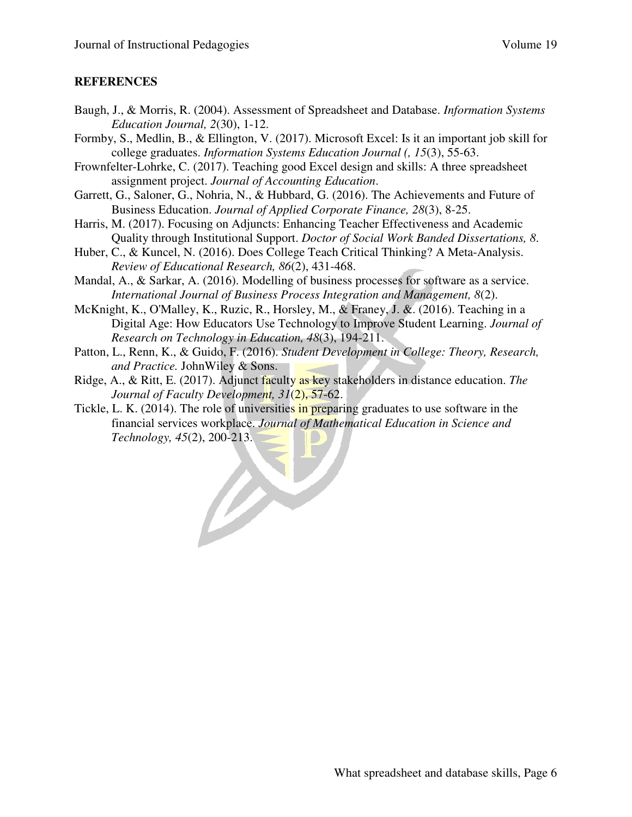## **REFERENCES**

- Baugh, J., & Morris, R. (2004). Assessment of Spreadsheet and Database. *Information Systems Education Journal, 2*(30), 1-12.
- Formby, S., Medlin, B., & Ellington, V. (2017). Microsoft Excel: Is it an important job skill for college graduates. *Information Systems Education Journal (, 15*(3), 55-63.
- Frownfelter-Lohrke, C. (2017). Teaching good Excel design and skills: A three spreadsheet assignment project. *Journal of Accounting Education*.
- Garrett, G., Saloner, G., Nohria, N., & Hubbard, G. (2016). The Achievements and Future of Business Education. *Journal of Applied Corporate Finance, 28*(3), 8-25.
- Harris, M. (2017). Focusing on Adjuncts: Enhancing Teacher Effectiveness and Academic Quality through Institutional Support. *Doctor of Social Work Banded Dissertations, 8*.
- Huber, C., & Kuncel, N. (2016). Does College Teach Critical Thinking? A Meta-Analysis. *Review of Educational Research, 86*(2), 431-468.
- Mandal, A., & Sarkar, A. (2016). Modelling of business processes for software as a service. *International Journal of Business Process Integration and Management, 8*(2).
- McKnight, K., O'Malley, K., Ruzic, R., Horsley, M., & Franey, J. &. (2016). Teaching in a Digital Age: How Educators Use Technology to Improve Student Learning. *Journal of Research on Technology in Education, 48*(3), 194-211.
- Patton, L., Renn, K., & Guido, F. (2016). *Student Development in College: Theory, Research, and Practice.* JohnWiley & Sons.
- Ridge, A., & Ritt, E. (2017). Adjunct faculty as key stakeholders in distance education. *The Journal of Faculty Development, 31*(2), 57-62.
- Tickle, L. K. (2014). The role of universities in preparing graduates to use software in the financial services workplace. *Journal of Mathematical Education in Science and*<br>Technology, 45(2), 200-213. *Technology, 45*(2), 200-213.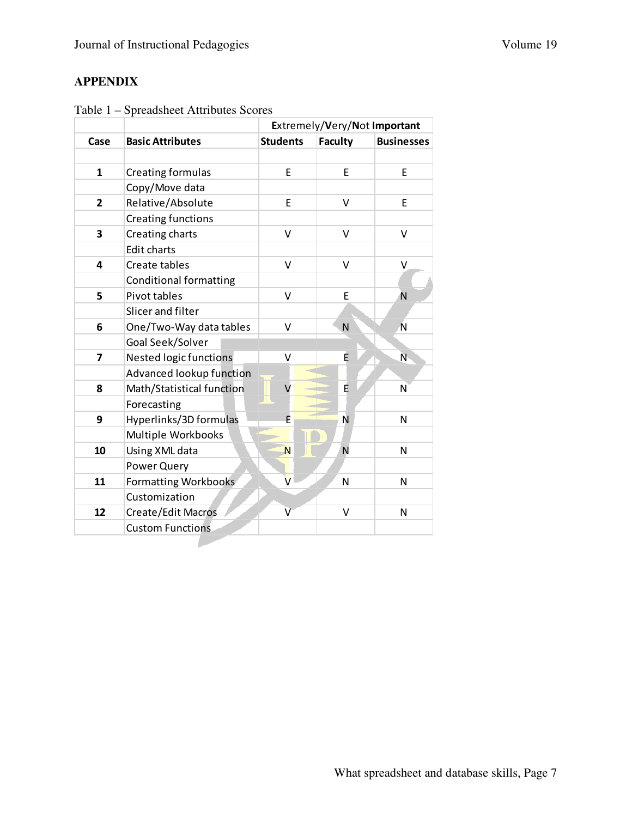Table 1 – Spreadsheet Attributes Scores

|              |                               | Extremely/Very/Not Important |                |                   |  |
|--------------|-------------------------------|------------------------------|----------------|-------------------|--|
| Case         | <b>Basic Attributes</b>       | <b>Students</b>              | <b>Faculty</b> | <b>Businesses</b> |  |
|              |                               |                              |                |                   |  |
| $\mathbf{1}$ | <b>Creating formulas</b>      | E                            | E              | E                 |  |
|              | Copy/Move data                |                              |                |                   |  |
| 2            | Relative/Absolute             | E                            | V              | E                 |  |
|              | <b>Creating functions</b>     |                              |                |                   |  |
| 3            | Creating charts               | V                            | V              | $\mathsf{V}$      |  |
|              | Edit charts                   |                              |                |                   |  |
| 4            | Create tables                 | ٧                            | v              | v                 |  |
|              | <b>Conditional formatting</b> |                              |                |                   |  |
| 5            | Pivot tables                  | V                            | E              | N                 |  |
|              | Slicer and filter             |                              |                |                   |  |
| 6            | One/Two-Way data tables       | V                            | N              | N                 |  |
|              | Goal Seek/Solver              |                              |                |                   |  |
| 7            | <b>Nested logic functions</b> | V                            | Ė              | Ñ                 |  |
|              | Advanced lookup function      |                              |                |                   |  |
| 8            | Math/Statistical function     | ٧                            | E              | N                 |  |
|              | Forecasting                   |                              |                |                   |  |
| 9            | Hyperlinks/3D formulas        | E                            | N              | N                 |  |
|              | Multiple Workbooks            |                              |                |                   |  |
| 10           | Using XML data                | N                            | N              | N                 |  |
|              | Power Query                   |                              |                |                   |  |
| 11           | <b>Formatting Workbooks</b>   | $\overline{\mathsf{v}}$      | N              | N                 |  |
|              | Customization                 |                              |                |                   |  |
| 12           | Create/Edit Macros            | ٧                            | V              | N                 |  |
|              | <b>Custom Functions</b>       |                              |                |                   |  |